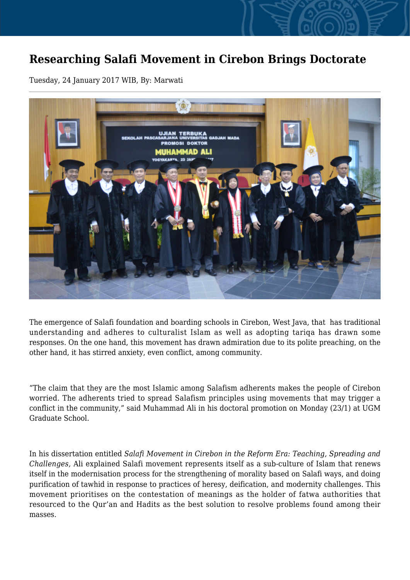## **Researching Salafi Movement in Cirebon Brings Doctorate**

Tuesday, 24 January 2017 WIB, By: Marwati



The emergence of Salafi foundation and boarding schools in Cirebon, West Java, that has traditional understanding and adheres to culturalist Islam as well as adopting tariqa has drawn some responses. On the one hand, this movement has drawn admiration due to its polite preaching, on the other hand, it has stirred anxiety, even conflict, among community.

"The claim that they are the most Islamic among Salafism adherents makes the people of Cirebon worried. The adherents tried to spread Salafism principles using movements that may trigger a conflict in the community," said Muhammad Ali in his doctoral promotion on Monday (23/1) at UGM Graduate School.

In his dissertation entitled *Salafi Movement in Cirebon in the Reform Era: Teaching, Spreading and Challenges,* Ali explained Salafi movement represents itself as a sub-culture of Islam that renews itself in the modernisation process for the strengthening of morality based on Salafi ways, and doing purification of tawhid in response to practices of heresy, deification, and modernity challenges. This movement prioritises on the contestation of meanings as the holder of fatwa authorities that resourced to the Qur'an and Hadits as the best solution to resolve problems found among their masses.